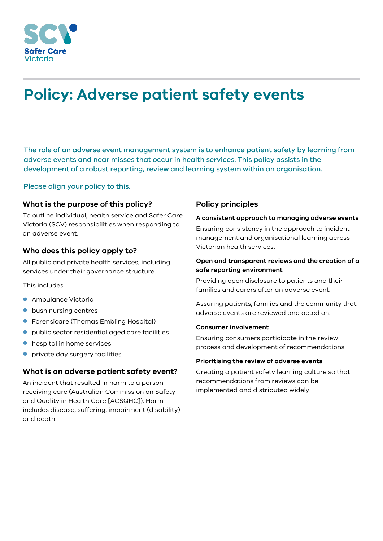

# **Policy: Adverse patient safety events**

The role of an adverse event management system is to enhance patient safety by learning from adverse events and near misses that occur in health services. This policy assists in the development of a robust reporting, review and learning system within an organisation.

## Please align your policy to this.

## **What is the purpose of this policy?**

To outline individual, health service and Safer Care Victoria (SCV) responsibilities when responding to an adverse event.

## **Who does this policy apply to?**

All public and private health services, including services under their governance structure.

This includes:

- **Ambulance Victoria**
- **bush nursing centres**
- **•** Forensicare (Thomas Embling Hospital)
- public sector residential aged care facilities
- hospital in home services
- **•** private day surgery facilities.

# **What is an adverse patient safety event?**

An incident that resulted in harm to a person receiving care (Australian Commission on Safety and Quality in Health Care [ACSQHC]). Harm includes disease, suffering, impairment (disability) and death.

# **Policy principles**

#### **A consistent approach to managing adverse events**

Ensuring consistency in the approach to incident management and organisational learning across Victorian health services.

## **Open and transparent reviews and the creation of a safe reporting environment**

Providing open disclosure to patients and their families and carers after an adverse event.

Assuring patients, families and the community that adverse events are reviewed and acted on.

## **Consumer involvement**

Ensuring consumers participate in the review process and development of recommendations.

## **Prioritising the review of adverse events**

Creating a patient safety learning culture so that recommendations from reviews can be implemented and distributed widely.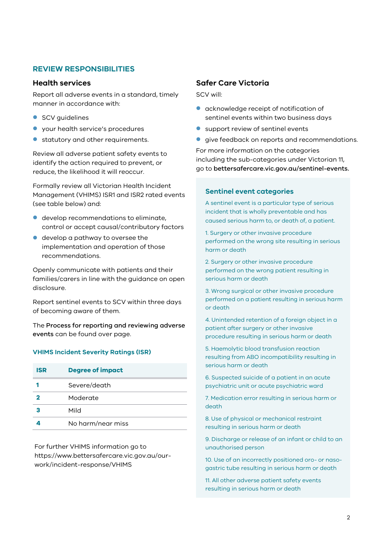## **REVIEW RESPONSIBILITIES**

## **Health services**

Report all adverse events in a standard, timely manner in accordance with:

- **SCV** guidelines
- your health service's procedures
- **•** statutory and other requirements.

Review all adverse patient safety events to identify the action required to prevent, or reduce, the likelihood it will reoccur.

Formally review all Victorian Health Incident Management (VHIMS) ISR1 and ISR2 rated events (see table below) and:

- develop recommendations to eliminate, control or accept causal/contributory factors
- develop a pathway to oversee the implementation and operation of those recommendations.

Openly communicate with patients and their families/carers in line with the guidance on open disclosure.

Report sentinel events to SCV within three days of becoming aware of them.

The Process for reporting and reviewing adverse events can be found over page.

## **VHIMS Incident Severity Ratings (ISR)**

| <b>ISR</b> | <b>Degree of impact</b> |
|------------|-------------------------|
|            | Severe/death            |
|            | Moderate                |
|            | Mild                    |
|            | No harm/near miss       |

For further VHIMS information go to [https://www.bettersafercare.vic.gov.au/our](https://www.bettersafercare.vic.gov.au/our-work/incident-response/VHIMS)[work/incident-response/VHIMS](https://www.bettersafercare.vic.gov.au/our-work/incident-response/VHIMS)

# **Safer Care Victoria**

SCV will:

- acknowledge receipt of notification of sentinel events within two business days
- **•** support review of sentinel events
- **quart** aive feedback on reports and recommendations.

For more information on the categories including the sub-categories under Victorian 11, go to bettersafercare.vic.gov.au/sentinel-events.

## **Sentinel event categories**

A sentinel event is a particular type of serious incident that is wholly preventable and has caused serious harm to, or death of, a patient.

1. Surgery or other invasive procedure performed on the wrong site resulting in serious harm or death

2. Surgery or other invasive procedure performed on the wrong patient resulting in serious harm or death

3. Wrong surgical or other invasive procedure performed on a patient resulting in serious harm or death

4. Unintended retention of a foreign object in a patient after surgery or other invasive procedure resulting in serious harm or death

5. Haemolytic blood transfusion reaction resulting from ABO incompatibility resulting in serious harm or death

6. Suspected suicide of a patient in an acute psychiatric unit or acute psychiatric ward

7. Medication error resulting in serious harm or death

8. Use of physical or mechanical restraint resulting in serious harm or death

9. Discharge or release of an infant or child to an unauthorised person

10. Use of an incorrectly positioned oro- or nasogastric tube resulting in serious harm or death

11. All other adverse patient safety events resulting in serious harm or death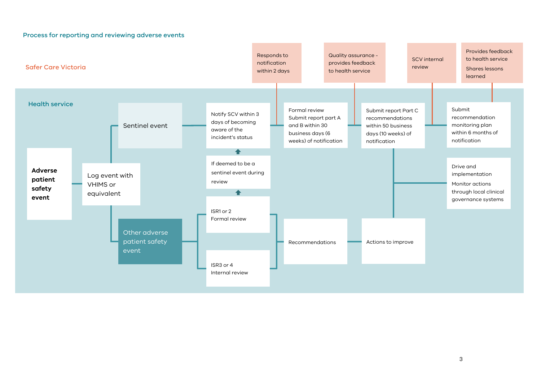

Process for reporting and reviewing adverse events